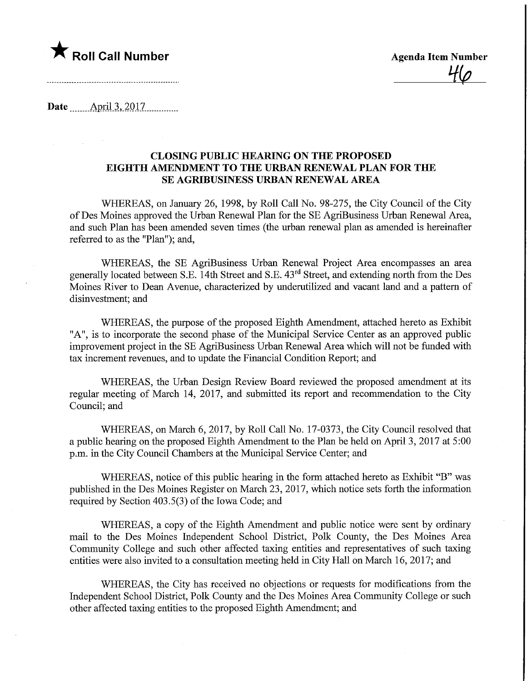

**Agenda Item Number** 

Date ........April.3,.2017.

## CLOSING PUBLIC HEARING ON THE PROPOSED EIGHTH AMENDMENT TO THE URBAN RENEWAL PLAN FOR THE SE AGRIBUSINESS URBAN RENEWAL AREA

WHEREAS, on January 26, 1998, by Roll Call No. 98-275, the City Council of the City ofDes Moines approved the Urban Renewal Plan for the SE AgriBusiness Urban Renewal Area, and such Plan has been amended seven times (the urban renewal plan as amended is hereinafter referred to as the "Plan"); and,

WHEREAS, the SE AgriBusiness Urban Renewal Project Area encompasses an area generally located between S.E. 14th Street and S.E. 43rd Street, and extending north from the Des Moines River to Dean Avenue, characterized by underutilized and vacant land and a pattern of disinvestment; and

WHEREAS, the purpose of the proposed Eighth Amendment, attached hereto as Exhibit "A", is to incorporate the second phase of the Municipal Service Center as an approved public improvement project in the SE AgriBusiness Urban Renewal Area which will not be funded with tax increment revenues, and to update the Financial Condition Report; and

WHEREAS, the Urban Design Review Board reviewed the proposed amendment at its regular meeting of March 14, 2017, and submitted its report and recommendation to the City Council; and

WHEREAS, on March 6, 2017, by Roll Call No. 17-0373, the City Council resolved that a public hearing on the proposed Eighth Amendment to the Plan be held on April 3, 2017 at 5:00 p.m. in the City Council Chambers at the Municipal Service Center; and

WHEREAS, notice of this public hearing in the form attached hereto as Exhibit "B" was published in the Des Moines Register on March 23, 2017, which notice sets forth the information required by Section 403.5(3) of the Iowa Code; and

WHEREAS, a copy of the Eighth Amendment and public notice were sent by ordinary mail to the Des Moines Independent School District, Polk County, the Des Moines Area Community College and such other affected taxing entities and representatives of such taxing entities were also invited to a consultation meeting held in City Hall on March 16, 2017; and

WHEREAS, the City has received no objections or requests for modifications from the Independent School District, Polk County and the Des Moines Area Community College or such other affected taxing entities to the proposed Eighth Amendment; and